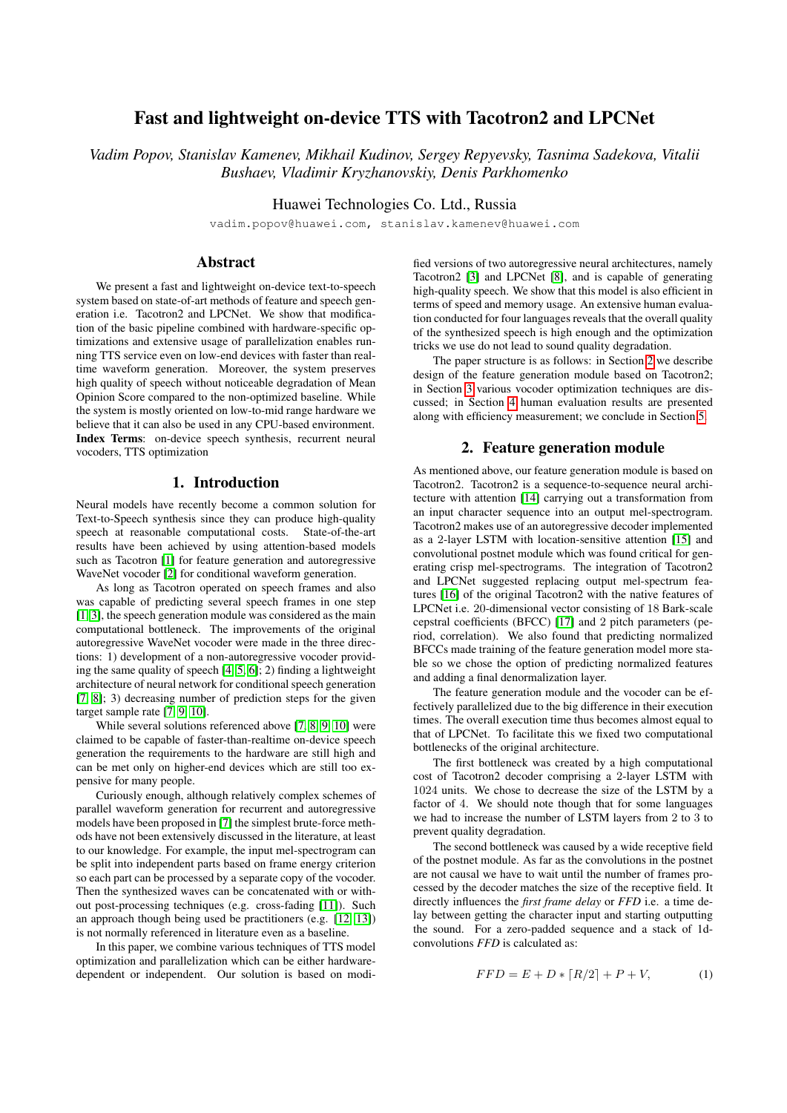# Fast and lightweight on-device TTS with Tacotron2 and LPCNet

*Vadim Popov, Stanislav Kamenev, Mikhail Kudinov, Sergey Repyevsky, Tasnima Sadekova, Vitalii Bushaev, Vladimir Kryzhanovskiy, Denis Parkhomenko*

Huawei Technologies Co. Ltd., Russia

vadim.popov@huawei.com, stanislav.kamenev@huawei.com

# Abstract

We present a fast and lightweight on-device text-to-speech system based on state-of-art methods of feature and speech generation i.e. Tacotron2 and LPCNet. We show that modification of the basic pipeline combined with hardware-specific optimizations and extensive usage of parallelization enables running TTS service even on low-end devices with faster than realtime waveform generation. Moreover, the system preserves high quality of speech without noticeable degradation of Mean Opinion Score compared to the non-optimized baseline. While the system is mostly oriented on low-to-mid range hardware we believe that it can also be used in any CPU-based environment. Index Terms: on-device speech synthesis, recurrent neural vocoders, TTS optimization

## 1. Introduction

Neural models have recently become a common solution for Text-to-Speech synthesis since they can produce high-quality speech at reasonable computational costs. State-of-the-art results have been achieved by using attention-based models such as Tacotron [\[1\]](#page-4-0) for feature generation and autoregressive WaveNet vocoder [\[2\]](#page-4-1) for conditional waveform generation.

As long as Tacotron operated on speech frames and also was capable of predicting several speech frames in one step [\[1,](#page-4-0) [3\]](#page-4-2), the speech generation module was considered as the main computational bottleneck. The improvements of the original autoregressive WaveNet vocoder were made in the three directions: 1) development of a non-autoregressive vocoder providing the same quality of speech [\[4,](#page-4-3) [5,](#page-4-4) [6\]](#page-4-5); 2) finding a lightweight architecture of neural network for conditional speech generation [\[7,](#page-4-6) [8\]](#page-4-7); 3) decreasing number of prediction steps for the given target sample rate [\[7,](#page-4-6) [9,](#page-4-8) [10\]](#page-4-9).

While several solutions referenced above [\[7,](#page-4-6) [8,](#page-4-7) [9,](#page-4-8) [10\]](#page-4-9) were claimed to be capable of faster-than-realtime on-device speech generation the requirements to the hardware are still high and can be met only on higher-end devices which are still too expensive for many people.

Curiously enough, although relatively complex schemes of parallel waveform generation for recurrent and autoregressive models have been proposed in [\[7\]](#page-4-6) the simplest brute-force methods have not been extensively discussed in the literature, at least to our knowledge. For example, the input mel-spectrogram can be split into independent parts based on frame energy criterion so each part can be processed by a separate copy of the vocoder. Then the synthesized waves can be concatenated with or without post-processing techniques (e.g. cross-fading [\[11\]](#page-4-10)). Such an approach though being used be practitioners (e.g. [\[12,](#page-4-11) [13\]](#page-4-12)) is not normally referenced in literature even as a baseline.

In this paper, we combine various techniques of TTS model optimization and parallelization which can be either hardwaredependent or independent. Our solution is based on modified versions of two autoregressive neural architectures, namely Tacotron2 [\[3\]](#page-4-2) and LPCNet [\[8\]](#page-4-7), and is capable of generating high-quality speech. We show that this model is also efficient in terms of speed and memory usage. An extensive human evaluation conducted for four languages reveals that the overall quality of the synthesized speech is high enough and the optimization tricks we use do not lead to sound quality degradation.

The paper structure is as follows: in Section [2](#page-0-0) we describe design of the feature generation module based on Tacotron2; in Section [3](#page-1-0) various vocoder optimization techniques are discussed; in Section [4](#page-2-0) human evaluation results are presented along with efficiency measurement; we conclude in Section [5.](#page-3-0)

#### 2. Feature generation module

<span id="page-0-0"></span>As mentioned above, our feature generation module is based on Tacotron2. Tacotron2 is a sequence-to-sequence neural architecture with attention [\[14\]](#page-4-13) carrying out a transformation from an input character sequence into an output mel-spectrogram. Tacotron2 makes use of an autoregressive decoder implemented as a 2-layer LSTM with location-sensitive attention [\[15\]](#page-4-14) and convolutional postnet module which was found critical for generating crisp mel-spectrograms. The integration of Tacotron2 and LPCNet suggested replacing output mel-spectrum features [\[16\]](#page-4-15) of the original Tacotron2 with the native features of LPCNet i.e. 20-dimensional vector consisting of 18 Bark-scale cepstral coefficients (BFCC) [\[17\]](#page-4-16) and 2 pitch parameters (period, correlation). We also found that predicting normalized BFCCs made training of the feature generation model more stable so we chose the option of predicting normalized features and adding a final denormalization layer.

The feature generation module and the vocoder can be effectively parallelized due to the big difference in their execution times. The overall execution time thus becomes almost equal to that of LPCNet. To facilitate this we fixed two computational bottlenecks of the original architecture.

The first bottleneck was created by a high computational cost of Tacotron2 decoder comprising a 2-layer LSTM with 1024 units. We chose to decrease the size of the LSTM by a factor of 4. We should note though that for some languages we had to increase the number of LSTM layers from 2 to 3 to prevent quality degradation.

The second bottleneck was caused by a wide receptive field of the postnet module. As far as the convolutions in the postnet are not causal we have to wait until the number of frames processed by the decoder matches the size of the receptive field. It directly influences the *first frame delay* or *FFD* i.e. a time delay between getting the character input and starting outputting the sound. For a zero-padded sequence and a stack of 1dconvolutions *FFD* is calculated as:

<span id="page-0-1"></span>
$$
FFD = E + D * [R/2] + P + V,
$$
 (1)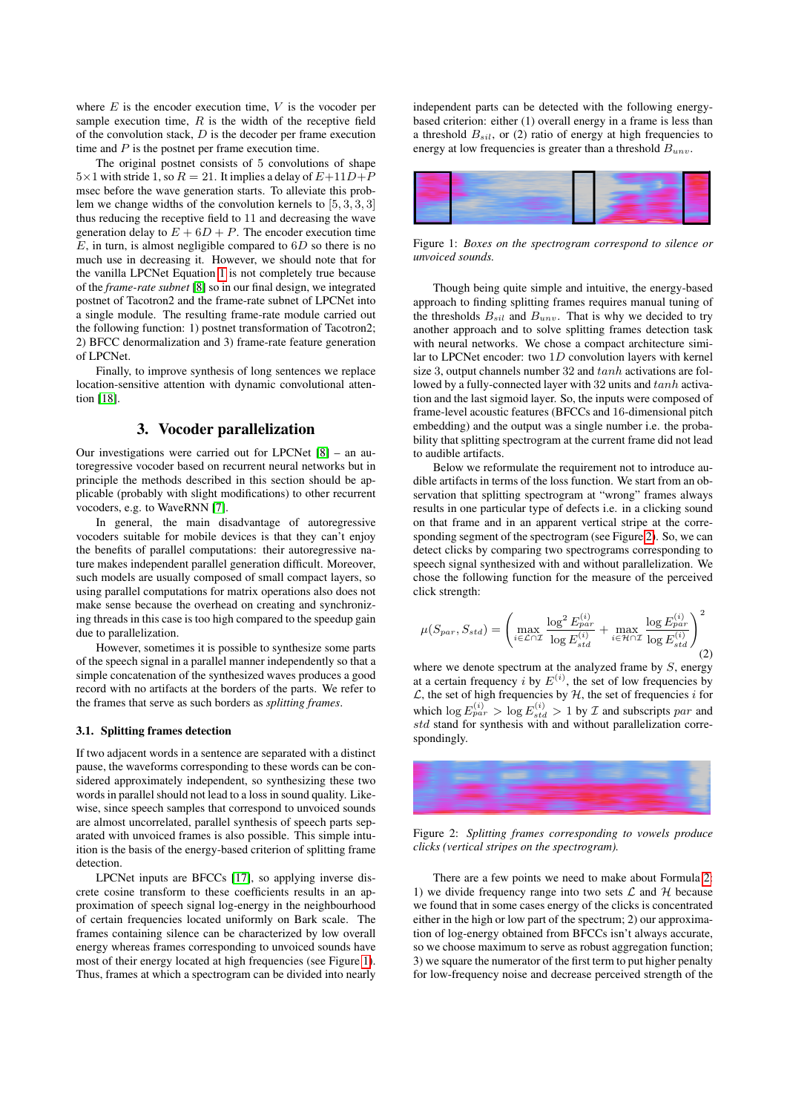where  $E$  is the encoder execution time,  $V$  is the vocoder per sample execution time,  $R$  is the width of the receptive field of the convolution stack,  $D$  is the decoder per frame execution time and  $P$  is the postnet per frame execution time.

The original postnet consists of 5 convolutions of shape  $5\times1$  with stride 1, so  $R = 21$ . It implies a delay of  $E+11D+P$ msec before the wave generation starts. To alleviate this problem we change widths of the convolution kernels to [5, 3, 3, 3] thus reducing the receptive field to 11 and decreasing the wave generation delay to  $E + 6D + P$ . The encoder execution time  $E$ , in turn, is almost negligible compared to  $6D$  so there is no much use in decreasing it. However, we should note that for the vanilla LPCNet Equation [1](#page-0-1) is not completely true because of the *frame-rate subnet* [\[8\]](#page-4-7) so in our final design, we integrated postnet of Tacotron2 and the frame-rate subnet of LPCNet into a single module. The resulting frame-rate module carried out the following function: 1) postnet transformation of Tacotron2; 2) BFCC denormalization and 3) frame-rate feature generation of LPCNet.

Finally, to improve synthesis of long sentences we replace location-sensitive attention with dynamic convolutional attention [\[18\]](#page-4-17).

# 3. Vocoder parallelization

<span id="page-1-0"></span>Our investigations were carried out for LPCNet [\[8\]](#page-4-7) – an autoregressive vocoder based on recurrent neural networks but in principle the methods described in this section should be applicable (probably with slight modifications) to other recurrent vocoders, e.g. to WaveRNN [\[7\]](#page-4-6).

In general, the main disadvantage of autoregressive vocoders suitable for mobile devices is that they can't enjoy the benefits of parallel computations: their autoregressive nature makes independent parallel generation difficult. Moreover, such models are usually composed of small compact layers, so using parallel computations for matrix operations also does not make sense because the overhead on creating and synchronizing threads in this case is too high compared to the speedup gain due to parallelization.

However, sometimes it is possible to synthesize some parts of the speech signal in a parallel manner independently so that a simple concatenation of the synthesized waves produces a good record with no artifacts at the borders of the parts. We refer to the frames that serve as such borders as *splitting frames*.

#### 3.1. Splitting frames detection

If two adjacent words in a sentence are separated with a distinct pause, the waveforms corresponding to these words can be considered approximately independent, so synthesizing these two words in parallel should not lead to a loss in sound quality. Likewise, since speech samples that correspond to unvoiced sounds are almost uncorrelated, parallel synthesis of speech parts separated with unvoiced frames is also possible. This simple intuition is the basis of the energy-based criterion of splitting frame detection.

LPCNet inputs are BFCCs [\[17\]](#page-4-16), so applying inverse discrete cosine transform to these coefficients results in an approximation of speech signal log-energy in the neighbourhood of certain frequencies located uniformly on Bark scale. The frames containing silence can be characterized by low overall energy whereas frames corresponding to unvoiced sounds have most of their energy located at high frequencies (see Figure [1\)](#page-1-1). Thus, frames at which a spectrogram can be divided into nearly independent parts can be detected with the following energybased criterion: either (1) overall energy in a frame is less than a threshold  $B_{sil}$ , or (2) ratio of energy at high frequencies to energy at low frequencies is greater than a threshold  $B_{unv}$ .

<span id="page-1-1"></span>

Figure 1: *Boxes on the spectrogram correspond to silence or unvoiced sounds.*

Though being quite simple and intuitive, the energy-based approach to finding splitting frames requires manual tuning of the thresholds  $B_{sil}$  and  $B_{unv}$ . That is why we decided to try another approach and to solve splitting frames detection task with neural networks. We chose a compact architecture similar to LPCNet encoder: two  $1D$  convolution layers with kernel size 3, output channels number 32 and  $tanh$  activations are followed by a fully-connected layer with 32 units and  $tanh$  activation and the last sigmoid layer. So, the inputs were composed of frame-level acoustic features (BFCCs and 16-dimensional pitch embedding) and the output was a single number i.e. the probability that splitting spectrogram at the current frame did not lead to audible artifacts.

Below we reformulate the requirement not to introduce audible artifacts in terms of the loss function. We start from an observation that splitting spectrogram at "wrong" frames always results in one particular type of defects i.e. in a clicking sound on that frame and in an apparent vertical stripe at the corresponding segment of the spectrogram (see Figure [2\)](#page-1-2). So, we can detect clicks by comparing two spectrograms corresponding to speech signal synthesized with and without parallelization. We chose the following function for the measure of the perceived click strength:

<span id="page-1-3"></span>
$$
\mu(S_{par}, S_{std}) = \left(\max_{i \in \mathcal{L} \cap \mathcal{I}} \frac{\log^2 E_{par}^{(i)}}{\log E_{std}^{(i)}} + \max_{i \in \mathcal{H} \cap \mathcal{I}} \frac{\log E_{par}^{(i)}}{\log E_{std}^{(i)}}\right)^2
$$
(2)

where we denote spectrum at the analyzed frame by  $S$ , energy at a certain frequency *i* by  $E^{(i)}$ , the set of low frequencies by  $\mathcal{L}$ , the set of high frequencies by  $\mathcal{H}$ , the set of frequencies i for which  $\log E_{par}^{(i)} > \log E_{std}^{(i)} > 1$  by *T* and subscripts par and std stand for synthesis with and without parallelization correspondingly.

<span id="page-1-2"></span>

Figure 2: *Splitting frames corresponding to vowels produce clicks (vertical stripes on the spectrogram).*

There are a few points we need to make about Formula [2:](#page-1-3) 1) we divide frequency range into two sets  $\mathcal L$  and  $\mathcal H$  because we found that in some cases energy of the clicks is concentrated either in the high or low part of the spectrum; 2) our approximation of log-energy obtained from BFCCs isn't always accurate, so we choose maximum to serve as robust aggregation function; 3) we square the numerator of the first term to put higher penalty for low-frequency noise and decrease perceived strength of the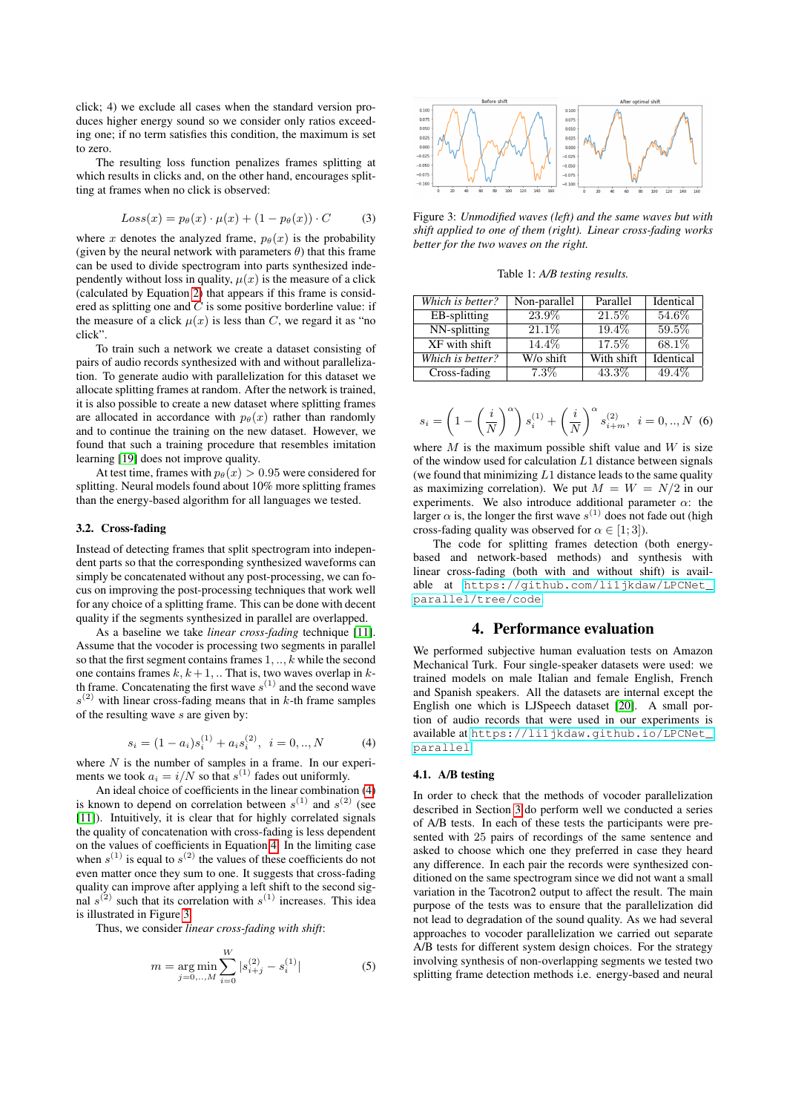click; 4) we exclude all cases when the standard version produces higher energy sound so we consider only ratios exceeding one; if no term satisfies this condition, the maximum is set to zero.

The resulting loss function penalizes frames splitting at which results in clicks and, on the other hand, encourages splitting at frames when no click is observed:

$$
Loss(x) = p_{\theta}(x) \cdot \mu(x) + (1 - p_{\theta}(x)) \cdot C \tag{3}
$$

where x denotes the analyzed frame,  $p_{\theta}(x)$  is the probability (given by the neural network with parameters  $\theta$ ) that this frame can be used to divide spectrogram into parts synthesized independently without loss in quality,  $\mu(x)$  is the measure of a click (calculated by Equation [2\)](#page-1-3) that appears if this frame is considered as splitting one and  $C$  is some positive borderline value: if the measure of a click  $\mu(x)$  is less than C, we regard it as "no click".

To train such a network we create a dataset consisting of pairs of audio records synthesized with and without parallelization. To generate audio with parallelization for this dataset we allocate splitting frames at random. After the network is trained, it is also possible to create a new dataset where splitting frames are allocated in accordance with  $p_{\theta}(x)$  rather than randomly and to continue the training on the new dataset. However, we found that such a training procedure that resembles imitation learning [\[19\]](#page-4-18) does not improve quality.

At test time, frames with  $p_{\theta}(x) > 0.95$  were considered for splitting. Neural models found about 10% more splitting frames than the energy-based algorithm for all languages we tested.

#### 3.2. Cross-fading

Instead of detecting frames that split spectrogram into independent parts so that the corresponding synthesized waveforms can simply be concatenated without any post-processing, we can focus on improving the post-processing techniques that work well for any choice of a splitting frame. This can be done with decent quality if the segments synthesized in parallel are overlapped.

As a baseline we take *linear cross-fading* technique [\[11\]](#page-4-10). Assume that the vocoder is processing two segments in parallel so that the first segment contains frames  $1, \ldots, k$  while the second one contains frames  $k, k+1, \dots$  That is, two waves overlap in kth frame. Concatenating the first wave  $s^{(1)}$  and the second wave  $s^{(2)}$  with linear cross-fading means that in k-th frame samples of the resulting wave s are given by:

<span id="page-2-1"></span>
$$
s_i = (1 - a_i)s_i^{(1)} + a_i s_i^{(2)}, \ \ i = 0,..,N \tag{4}
$$

where  $N$  is the number of samples in a frame. In our experiments we took  $a_i = i/N$  so that  $s^{(1)}$  fades out uniformly.

An ideal choice of coefficients in the linear combination [\(4\)](#page-2-1) is known to depend on correlation between  $s^{(1)}$  and  $s^{(2)}$  (see [\[11\]](#page-4-10)). Intuitively, it is clear that for highly correlated signals the quality of concatenation with cross-fading is less dependent on the values of coefficients in Equation [4.](#page-2-1) In the limiting case when  $s^{(1)}$  is equal to  $s^{(2)}$  the values of these coefficients do not even matter once they sum to one. It suggests that cross-fading quality can improve after applying a left shift to the second signal  $s^{(2)}$  such that its correlation with  $s^{(1)}$  increases. This idea is illustrated in Figure [3.](#page-2-2)

Thus, we consider *linear cross-fading with shift*:

$$
m = \underset{j=0,\dots,M}{\arg\min} \sum_{i=0}^{W} |s_{i+j}^{(2)} - s_i^{(1)}|
$$
 (5)

<span id="page-2-2"></span>

Figure 3: *Unmodified waves (left) and the same waves but with shift applied to one of them (right). Linear cross-fading works better for the two waves on the right.*

Table 1: *A/B testing results.*

<span id="page-2-3"></span>

| Which is better? | Non-parallel | Parallel   | Identical |
|------------------|--------------|------------|-----------|
| EB-splitting     | 23.9%        | 21.5%      | 54.6%     |
| NN-splitting     | 21.1\%       | 19.4%      | 59.5%     |
| XF with shift    | 14.4\%       | 17.5%      | 68.1\%    |
| Which is better? | W/o shift    | With shift | Identical |
| Cross-fading     | $7.3\%$      | 43.3%      | 49.4%     |

$$
s_i = \left(1 - \left(\frac{i}{N}\right)^{\alpha}\right)s_i^{(1)} + \left(\frac{i}{N}\right)^{\alpha}s_{i+m}^{(2)}, \ i = 0,..,N
$$
 (6)

where  $M$  is the maximum possible shift value and  $W$  is size of the window used for calculation  $L1$  distance between signals (we found that minimizing  $L1$  distance leads to the same quality as maximizing correlation). We put  $M = W = N/2$  in our experiments. We also introduce additional parameter  $\alpha$ : the larger  $\alpha$  is, the longer the first wave  $s^{(1)}$  does not fade out (high cross-fading quality was observed for  $\alpha \in [1, 3]$ ).

The code for splitting frames detection (both energybased and network-based methods) and synthesis with linear cross-fading (both with and without shift) is available at [https://github.com/li1jkdaw/LPCNet\\_](https://github.com/li1jkdaw/LPCNet_parallel/tree/code) [parallel/tree/code](https://github.com/li1jkdaw/LPCNet_parallel/tree/code).

#### 4. Performance evaluation

<span id="page-2-0"></span>We performed subjective human evaluation tests on Amazon Mechanical Turk. Four single-speaker datasets were used: we trained models on male Italian and female English, French and Spanish speakers. All the datasets are internal except the English one which is LJSpeech dataset [\[20\]](#page-4-19). A small portion of audio records that were used in our experiments is available at [https://li1jkdaw.github.io/LPCNet\\_](https://li1jkdaw.github.io/LPCNet_parallel) [parallel](https://li1jkdaw.github.io/LPCNet_parallel).

#### 4.1. A/B testing

In order to check that the methods of vocoder parallelization described in Section [3](#page-1-0) do perform well we conducted a series of A/B tests. In each of these tests the participants were presented with 25 pairs of recordings of the same sentence and asked to choose which one they preferred in case they heard any difference. In each pair the records were synthesized conditioned on the same spectrogram since we did not want a small variation in the Tacotron2 output to affect the result. The main purpose of the tests was to ensure that the parallelization did not lead to degradation of the sound quality. As we had several approaches to vocoder parallelization we carried out separate A/B tests for different system design choices. For the strategy involving synthesis of non-overlapping segments we tested two splitting frame detection methods i.e. energy-based and neural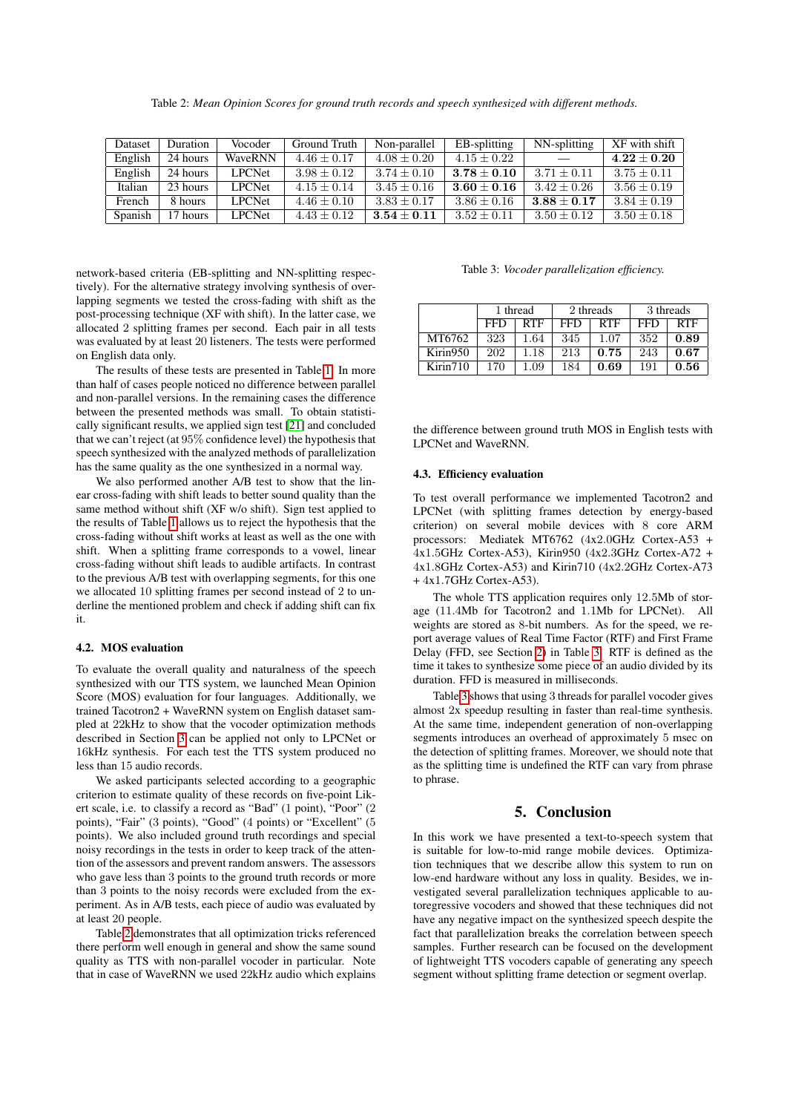Table 2: *Mean Opinion Scores for ground truth records and speech synthesized with different methods.*

<span id="page-3-1"></span>

| Dataset | <b>Duration</b> | Vocoder       | Ground Truth    | Non-parallel  | EB-splitting    | NN-splitting    | XF with shift   |
|---------|-----------------|---------------|-----------------|---------------|-----------------|-----------------|-----------------|
| English | 24 hours        | WaveRNN       | $4.46 \pm 0.17$ | $4.08 + 0.20$ | $4.15 + 0.22$   |                 | $4.22\pm0.20$   |
| English | 24 hours        | <b>LPCNet</b> | $3.98 + 0.12$   | $3.74 + 0.10$ | $3.78 + 0.10$   | $3.71 + 0.11$   | $3.75 + 0.11$   |
| Italian | 23 hours        | <b>LPCNet</b> | $4.15 + 0.14$   | $3.45 + 0.16$ | $3.60 + 0.16$   | $3.42 + 0.26$   | $3.56 + 0.19$   |
| French  | 8 hours         | <b>LPCNet</b> | $4.46 \pm 0.10$ | $3.83 + 0.17$ | $3.86 \pm 0.16$ | $3.88 + 0.17$   | $3.84 + 0.19$   |
| Spanish | 17 hours        | <b>LPCNet</b> | $4.43 \pm 0.12$ | $3.54 + 0.11$ | $3.52 \pm 0.11$ | $3.50 \pm 0.12$ | $3.50 \pm 0.18$ |

network-based criteria (EB-splitting and NN-splitting respectively). For the alternative strategy involving synthesis of overlapping segments we tested the cross-fading with shift as the post-processing technique (XF with shift). In the latter case, we allocated 2 splitting frames per second. Each pair in all tests was evaluated by at least 20 listeners. The tests were performed on English data only.

The results of these tests are presented in Table [1.](#page-2-3) In more than half of cases people noticed no difference between parallel and non-parallel versions. In the remaining cases the difference between the presented methods was small. To obtain statistically significant results, we applied sign test [\[21\]](#page-4-20) and concluded that we can't reject (at 95% confidence level) the hypothesis that speech synthesized with the analyzed methods of parallelization has the same quality as the one synthesized in a normal way.

We also performed another A/B test to show that the linear cross-fading with shift leads to better sound quality than the same method without shift (XF w/o shift). Sign test applied to the results of Table [1](#page-2-3) allows us to reject the hypothesis that the cross-fading without shift works at least as well as the one with shift. When a splitting frame corresponds to a vowel, linear cross-fading without shift leads to audible artifacts. In contrast to the previous A/B test with overlapping segments, for this one we allocated 10 splitting frames per second instead of 2 to underline the mentioned problem and check if adding shift can fix it.

## 4.2. MOS evaluation

To evaluate the overall quality and naturalness of the speech synthesized with our TTS system, we launched Mean Opinion Score (MOS) evaluation for four languages. Additionally, we trained Tacotron2 + WaveRNN system on English dataset sampled at 22kHz to show that the vocoder optimization methods described in Section [3](#page-1-0) can be applied not only to LPCNet or 16kHz synthesis. For each test the TTS system produced no less than 15 audio records.

We asked participants selected according to a geographic criterion to estimate quality of these records on five-point Likert scale, i.e. to classify a record as "Bad" (1 point), "Poor" (2 points), "Fair" (3 points), "Good" (4 points) or "Excellent" (5 points). We also included ground truth recordings and special noisy recordings in the tests in order to keep track of the attention of the assessors and prevent random answers. The assessors who gave less than 3 points to the ground truth records or more than 3 points to the noisy records were excluded from the experiment. As in A/B tests, each piece of audio was evaluated by at least 20 people.

Table [2](#page-3-1) demonstrates that all optimization tricks referenced there perform well enough in general and show the same sound quality as TTS with non-parallel vocoder in particular. Note that in case of WaveRNN we used 22kHz audio which explains

#### Table 3: *Vocoder parallelization efficiency.*

<span id="page-3-2"></span>

|          | 1 thread |            | 2 threads |      | 3 threads |            |
|----------|----------|------------|-----------|------|-----------|------------|
|          | FFD      | <b>RTF</b> | FFD       | RTF  | FFD       | <b>RTF</b> |
| MT6762   | 323      | 1.64       | 345       | 1.07 | 352       | 0.89       |
| Kirin950 | 202      | 1.18       | 213       | 0.75 | 243       | 0.67       |
| Kim710   | 170      | .09        | 184       | 0.69 | 191       | 0.56       |

the difference between ground truth MOS in English tests with LPCNet and WaveRNN.

#### 4.3. Efficiency evaluation

To test overall performance we implemented Tacotron2 and LPCNet (with splitting frames detection by energy-based criterion) on several mobile devices with 8 core ARM processors: Mediatek MT6762 (4x2.0GHz Cortex-A53 + 4x1.5GHz Cortex-A53), Kirin950 (4x2.3GHz Cortex-A72 + 4x1.8GHz Cortex-A53) and Kirin710 (4x2.2GHz Cortex-A73 + 4x1.7GHz Cortex-A53).

The whole TTS application requires only 12.5Mb of storage (11.4Mb for Tacotron2 and 1.1Mb for LPCNet). All weights are stored as 8-bit numbers. As for the speed, we report average values of Real Time Factor (RTF) and First Frame Delay (FFD, see Section [2\)](#page-0-0) in Table [3.](#page-3-2) RTF is defined as the time it takes to synthesize some piece of an audio divided by its duration. FFD is measured in milliseconds.

Table [3](#page-3-2) shows that using 3 threads for parallel vocoder gives almost 2x speedup resulting in faster than real-time synthesis. At the same time, independent generation of non-overlapping segments introduces an overhead of approximately 5 msec on the detection of splitting frames. Moreover, we should note that as the splitting time is undefined the RTF can vary from phrase to phrase.

## 5. Conclusion

<span id="page-3-0"></span>In this work we have presented a text-to-speech system that is suitable for low-to-mid range mobile devices. Optimization techniques that we describe allow this system to run on low-end hardware without any loss in quality. Besides, we investigated several parallelization techniques applicable to autoregressive vocoders and showed that these techniques did not have any negative impact on the synthesized speech despite the fact that parallelization breaks the correlation between speech samples. Further research can be focused on the development of lightweight TTS vocoders capable of generating any speech segment without splitting frame detection or segment overlap.